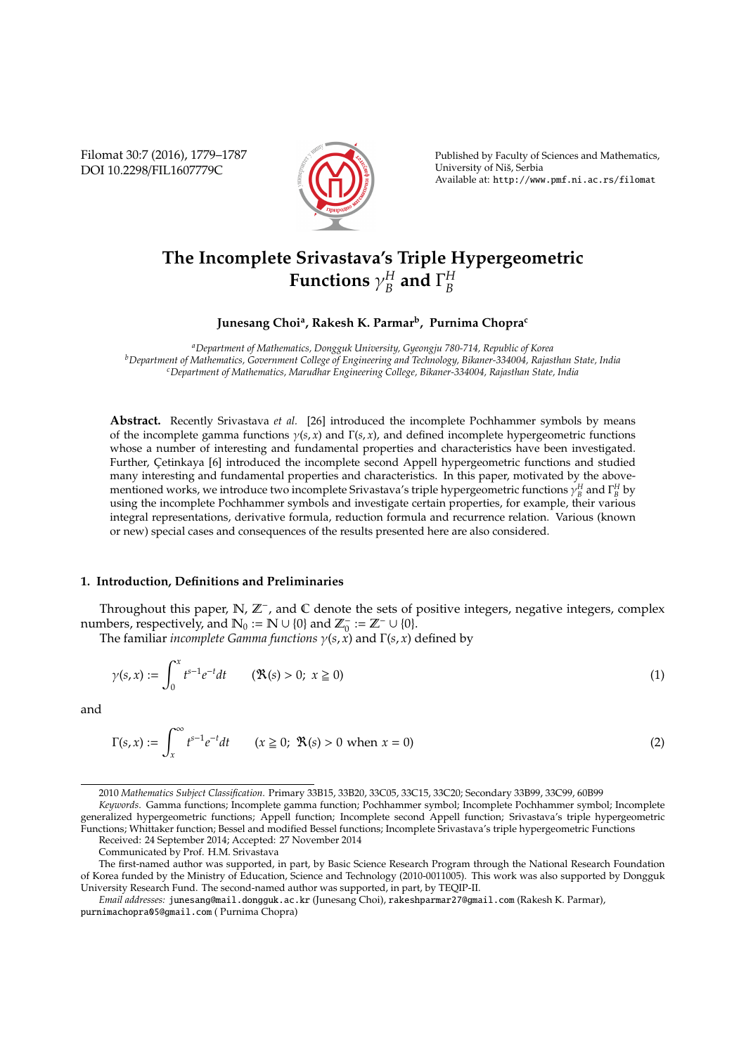Filomat 30:7 (2016), 1779–1787 DOI 10.2298/FIL1607779C



Published by Faculty of Sciences and Mathematics, University of Niš, Serbia Available at: http://www.pmf.ni.ac.rs/filomat

#### **The Incomplete Srivastava's Triple Hypergeometric Functions** γ *H*  $_B^H$  and  $\Gamma_B^H$ *B*

# **Junesang Choi<sup>a</sup> , Rakesh K. Parmar<sup>b</sup> , Purnima Chopra<sup>c</sup>**

*<sup>a</sup>Department of Mathematics, Dongguk University, Gyeongju 780-714, Republic of Korea <sup>b</sup>Department of Mathematics, Government College of Engineering and Technology, Bikaner-334004, Rajasthan State, India <sup>c</sup>Department of Mathematics, Marudhar Engineering College, Bikaner-334004, Rajasthan State, India*

**Abstract.** Recently Srivastava *et al.* [26] introduced the incomplete Pochhammer symbols by means of the incomplete gamma functions γ(*s*, *x*) and Γ(*s*, *x*), and defined incomplete hypergeometric functions whose a number of interesting and fundamental properties and characteristics have been investigated. Further, Çetinkaya [6] introduced the incomplete second Appell hypergeometric functions and studied many interesting and fundamental properties and characteristics. In this paper, motivated by the abovementioned works, we introduce two incomplete Srivastava's triple hypergeometric functions  $\gamma_B^H$  and  $\Gamma_B^H$  by using the incomplete Pochhammer symbols and investigate certain properties, for example, their various integral representations, derivative formula, reduction formula and recurrence relation. Various (known or new) special cases and consequences of the results presented here are also considered.

## **1. Introduction, Definitions and Preliminaries**

Throughout this paper, N, Z<sup>−</sup>, and C denote the sets of positive integers, negative integers, complex numbers, respectively, and  $\mathbb{N}_0 := \mathbb{N} \cup \{0\}$  and  $\mathbb{Z}_0^- := \mathbb{Z}^- \cup \{0\}$ .

The familiar *incomplete Gamma functions*  $\gamma(s, x)$  and  $\Gamma(s, x)$  defined by

$$
\gamma(s,x) := \int_0^x t^{s-1} e^{-t} dt \qquad (\Re(s) > 0; \ x \ge 0)
$$
\n(1)

and

$$
\Gamma(s, x) := \int_{x}^{\infty} t^{s-1} e^{-t} dt \qquad (x \ge 0; \ \Re(s) > 0 \text{ when } x = 0)
$$
 (2)

<sup>2010</sup> *Mathematics Subject Classification*. Primary 33B15, 33B20, 33C05, 33C15, 33C20; Secondary 33B99, 33C99, 60B99

*Keywords*. Gamma functions; Incomplete gamma function; Pochhammer symbol; Incomplete Pochhammer symbol; Incomplete generalized hypergeometric functions; Appell function; Incomplete second Appell function; Srivastava's triple hypergeometric Functions; Whittaker function; Bessel and modified Bessel functions; Incomplete Srivastava's triple hypergeometric Functions Received: 24 September 2014; Accepted: 27 November 2014

Communicated by Prof. H.M. Srivastava

The first-named author was supported, in part, by Basic Science Research Program through the National Research Foundation of Korea funded by the Ministry of Education, Science and Technology (2010-0011005). This work was also supported by Dongguk University Research Fund. The second-named author was supported, in part, by TEQIP-II.

*Email addresses:* junesang@mail.dongguk.ac.kr (Junesang Choi), rakeshparmar27@gmail.com (Rakesh K. Parmar), purnimachopra05@gmail.com ( Purnima Chopra)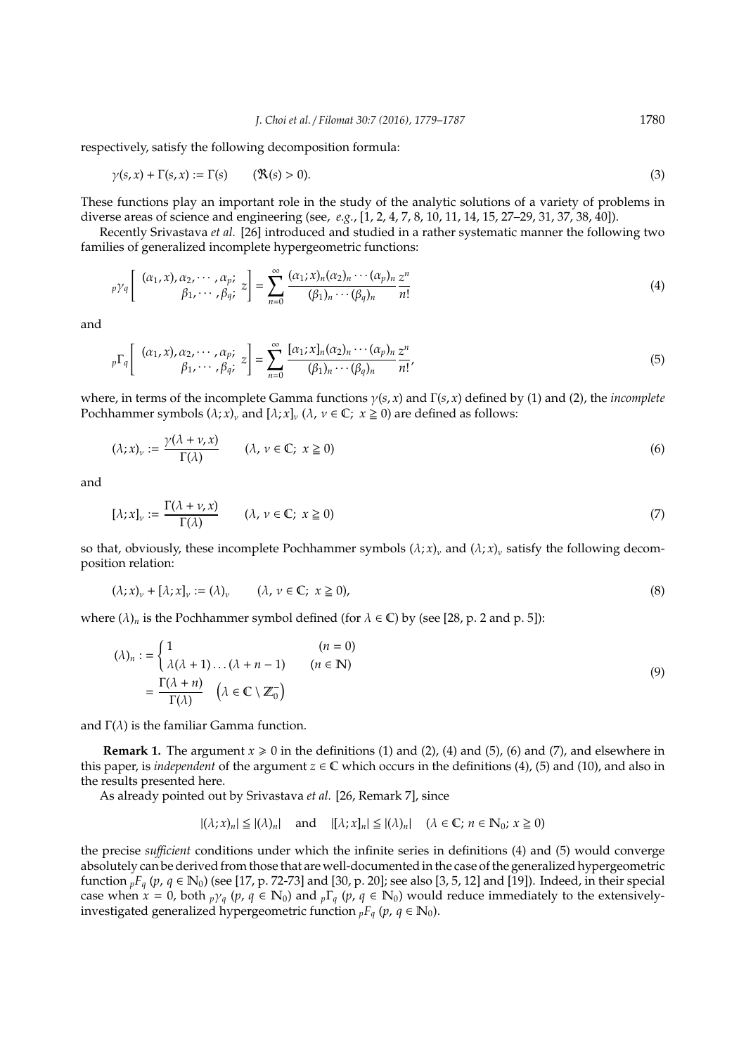respectively, satisfy the following decomposition formula:

$$
\gamma(s, x) + \Gamma(s, x) := \Gamma(s) \qquad (\mathfrak{R}(s) > 0). \tag{3}
$$

These functions play an important role in the study of the analytic solutions of a variety of problems in diverse areas of science and engineering (see, *e.g.*, [1, 2, 4, 7, 8, 10, 11, 14, 15, 27–29, 31, 37, 38, 40]).

Recently Srivastava *et al.* [26] introduced and studied in a rather systematic manner the following two families of generalized incomplete hypergeometric functions:

$$
p\gamma_q \left[ \begin{array}{cc} (\alpha_1, x), \alpha_2, \cdots, \alpha_p; \\ \beta_1, \cdots, \beta_q; \end{array} z \right] = \sum_{n=0}^{\infty} \frac{(\alpha_1; x)_n (\alpha_2)_n \cdots (\alpha_p)_n}{(\beta_1)_n \cdots (\beta_q)_n} \frac{z^n}{n!}
$$
(4)

and

$$
{}_{p}\Gamma_{q}\left[\begin{array}{cc}(\alpha_{1},x),\alpha_{2},\cdots,\alpha_{p};\\ \beta_{1},\cdots,\beta_{q};\end{array}z\right]=\sum_{n=0}^{\infty}\frac{[\alpha_{1};x]_{n}(\alpha_{2})_{n}\cdots(\alpha_{p})_{n}}{(\beta_{1})_{n}\cdots(\beta_{q})_{n}}\frac{z^{n}}{n!},\tag{5}
$$

where, in terms of the incomplete Gamma functions γ(*s*, *x*) and Γ(*s*, *x*) defined by (1) and (2), the *incomplete* Pochhammer symbols  $(\lambda; x)_{\nu}$  and  $[\lambda; x]_{\nu}$  ( $\lambda, \nu \in \mathbb{C}$ ;  $x \ge 0$ ) are defined as follows:

$$
(\lambda; x)_\nu := \frac{\gamma(\lambda + \nu, x)}{\Gamma(\lambda)} \qquad (\lambda, \nu \in \mathbb{C}; \ x \ge 0)
$$
 (6)

and

$$
[\lambda; x]_{\nu} := \frac{\Gamma(\lambda + \nu, x)}{\Gamma(\lambda)} \qquad (\lambda, \nu \in \mathbb{C}; x \ge 0)
$$
\n
$$
(7)
$$

so that, obviously, these incomplete Pochhammer symbols  $(\lambda; x)_{\nu}$  and  $(\lambda; x)_{\nu}$  satisfy the following decomposition relation:

$$
(\lambda; x)_v + [\lambda; x]_v := (\lambda)_v \qquad (\lambda, v \in \mathbb{C}; x \ge 0), \tag{8}
$$

where  $(\lambda)_n$  is the Pochhammer symbol defined (for  $\lambda \in \mathbb{C}$ ) by (see [28, p. 2 and p. 5]):

$$
(\lambda)_n := \begin{cases} 1 & (n = 0) \\ \lambda(\lambda + 1) \dots (\lambda + n - 1) & (n \in \mathbb{N}) \end{cases}
$$
  
= 
$$
\frac{\Gamma(\lambda + n)}{\Gamma(\lambda)} \quad (\lambda \in \mathbb{C} \setminus \mathbb{Z}_0^-)
$$
 (9)

and  $\Gamma(\lambda)$  is the familiar Gamma function.

**Remark 1.** The argument  $x \ge 0$  in the definitions (1) and (2), (4) and (5), (6) and (7), and elsewhere in this paper, is *independent* of the argument  $z \in \mathbb{C}$  which occurs in the definitions (4), (5) and (10), and also in the results presented here.

As already pointed out by Srivastava *et al.* [26, Remark 7], since

$$
|(\lambda; x)_n| \leq |(\lambda)_n| \quad \text{and} \quad |[\lambda; x]_n| \leq |(\lambda)_n| \quad (\lambda \in \mathbb{C}; n \in \mathbb{N}_0; x \geq 0)
$$

the precise *su*ffi*cient* conditions under which the infinite series in definitions (4) and (5) would converge absolutely can be derived from those that are well-documented in the case of the generalized hypergeometric function  ${}_{p}F_{q}$  ( $p$ ,  $q \in \mathbb{N}_0$ ) (see [17, p. 72-73] and [30, p. 20]; see also [3, 5, 12] and [19]). Indeed, in their special case when  $x = 0$ , both  $p\gamma_q$  ( $p, q \in \mathbb{N}_0$ ) and  $p\Gamma_q$  ( $p, q \in \mathbb{N}_0$ ) would reduce immediately to the extensivelyinvestigated generalized hypergeometric function  $_pF_q$  ( $p, q \in \mathbb{N}_0$ ).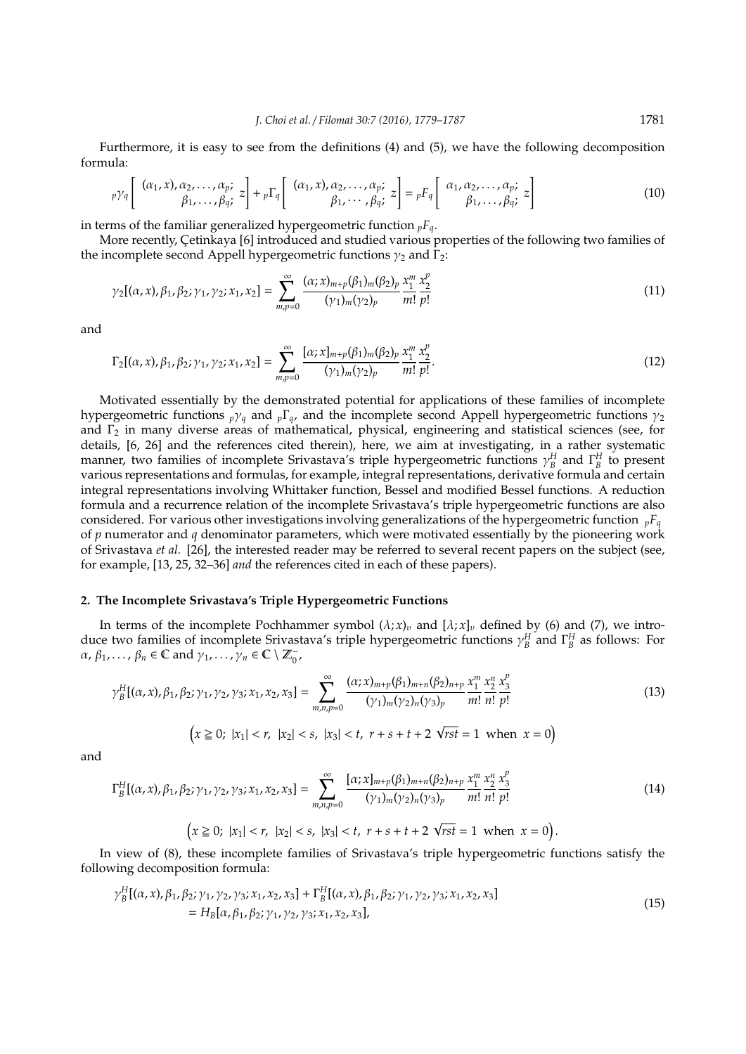Furthermore, it is easy to see from the definitions (4) and (5), we have the following decomposition formula:

$$
p\gamma_q \left[ \begin{array}{cc} (\alpha_1, x), \alpha_2, \ldots, \alpha_p; \\ \beta_1, \ldots, \beta_q; \end{array} z \right] + {}_p\Gamma_q \left[ \begin{array}{cc} (\alpha_1, x), \alpha_2, \ldots, \alpha_p; \\ \beta_1, \cdots, \beta_q; \end{array} z \right] = {}_pF_q \left[ \begin{array}{cc} \alpha_1, \alpha_2, \ldots, \alpha_p; \\ \beta_1, \ldots, \beta_q; \end{array} z \right] \tag{10}
$$

in terms of the familiar generalized hypergeometric function  $pF_q$ .

More recently, Cetinkaya [6] introduced and studied various properties of the following two families of the incomplete second Appell hypergeometric functions  $\gamma_2$  and  $\Gamma_2$ :

$$
\gamma_2[(\alpha, x), \beta_1, \beta_2; \gamma_1, \gamma_2; x_1, x_2] = \sum_{m,p=0}^{\infty} \frac{(\alpha; x)_{m+p} (\beta_1)_m (\beta_2)_p}{(\gamma_1)_m (\gamma_2)_p} \frac{x_1^m}{m!} \frac{x_2^p}{p!}
$$
(11)

and

$$
\Gamma_2[(\alpha, x), \beta_1, \beta_2; \gamma_1, \gamma_2; x_1, x_2] = \sum_{m,p=0}^{\infty} \frac{[\alpha; x]_{m+p}(\beta_1)_m(\beta_2)_p}{(\gamma_1)_m(\gamma_2)_p} \frac{x_1^m}{m!} \frac{x_2^p}{p!}.
$$
\n(12)

Motivated essentially by the demonstrated potential for applications of these families of incomplete hypergeometric functions  $p\gamma_q$  and  $p\Gamma_q$ , and the incomplete second Appell hypergeometric functions  $\gamma_2$ and  $\Gamma_2$  in many diverse areas of mathematical, physical, engineering and statistical sciences (see, for details, [6, 26] and the references cited therein), here, we aim at investigating, in a rather systematic manner, two families of incomplete Srivastava's triple hypergeometric functions  $\gamma_B^H$  and  $\Gamma_B^H$  to present various representations and formulas, for example, integral representations, derivative formula and certain integral representations involving Whittaker function, Bessel and modified Bessel functions. A reduction formula and a recurrence relation of the incomplete Srivastava's triple hypergeometric functions are also considered. For various other investigations involving generalizations of the hypergeometric function  $pF_q$ of *p* numerator and *q* denominator parameters, which were motivated essentially by the pioneering work of Srivastava *et al.* [26], the interested reader may be referred to several recent papers on the subject (see, for example, [13, 25, 32–36] *and* the references cited in each of these papers).

## **2. The Incomplete Srivastava's Triple Hypergeometric Functions**

In terms of the incomplete Pochhammer symbol  $(\lambda; x)_v$  and  $[\lambda; x]_v$  defined by (6) and (7), we introduce two families of incomplete Srivastava's triple hypergeometric functions  $\gamma_B^H$  and  $\Gamma_B^H$  as follows: For  $\alpha$ ,  $\beta_1$ , ...,  $\beta_n \in \mathbb{C}$  and  $\gamma_1$ , ...,  $\gamma_n \in \mathbb{C} \setminus \mathbb{Z}_0^-,$ 

$$
\gamma_{B}^{H}[(\alpha, x), \beta_{1}, \beta_{2}; \gamma_{1}, \gamma_{2}, \gamma_{3}; x_{1}, x_{2}, x_{3}] = \sum_{m,n,p=0}^{\infty} \frac{(\alpha; x)_{m+p}(\beta_{1})_{m+n}(\beta_{2})_{n+p}}{(\gamma_{1})_{m}(\gamma_{2})_{n}(\gamma_{3})_{p}} \frac{x_{1}^{m}}{m!} \frac{x_{2}^{n}}{n!} \frac{x_{3}^{p}}{p!}
$$
\n
$$
(13)
$$
\n
$$
\left(x \geq 0; |x_{1}| < r, |x_{2}| < s, |x_{3}| < t, r+s+t+2 \sqrt{rst} = 1 \text{ when } x = 0\right)
$$

and

$$
\Gamma_B^H[(\alpha, x), \beta_1, \beta_2; \gamma_1, \gamma_2, \gamma_3; x_1, x_2, x_3] = \sum_{m,n,p=0}^{\infty} \frac{[\alpha; x]_{m+p}(\beta_1)_{m+n}(\beta_2)_{n+p}}{(\gamma_1)_m(\gamma_2)_n(\gamma_3)_p} \frac{x_1^m}{m!} \frac{x_2^n}{n!} \frac{x_3^p}{p!}
$$
(14)

$$
\left(x \ge 0; |x_1| < r, |x_2| < s, |x_3| < t, r + s + t + 2\sqrt{rst} = 1 \text{ when } x = 0\right).
$$

In view of (8), these incomplete families of Srivastava's triple hypergeometric functions satisfy the following decomposition formula:

$$
\gamma_B^H[(\alpha, x), \beta_1, \beta_2; \gamma_1, \gamma_2, \gamma_3; x_1, x_2, x_3] + \Gamma_B^H[(\alpha, x), \beta_1, \beta_2; \gamma_1, \gamma_2, \gamma_3; x_1, x_2, x_3] = H_B[\alpha, \beta_1, \beta_2; \gamma_1, \gamma_2, \gamma_3; x_1, x_2, x_3],
$$
\n(15)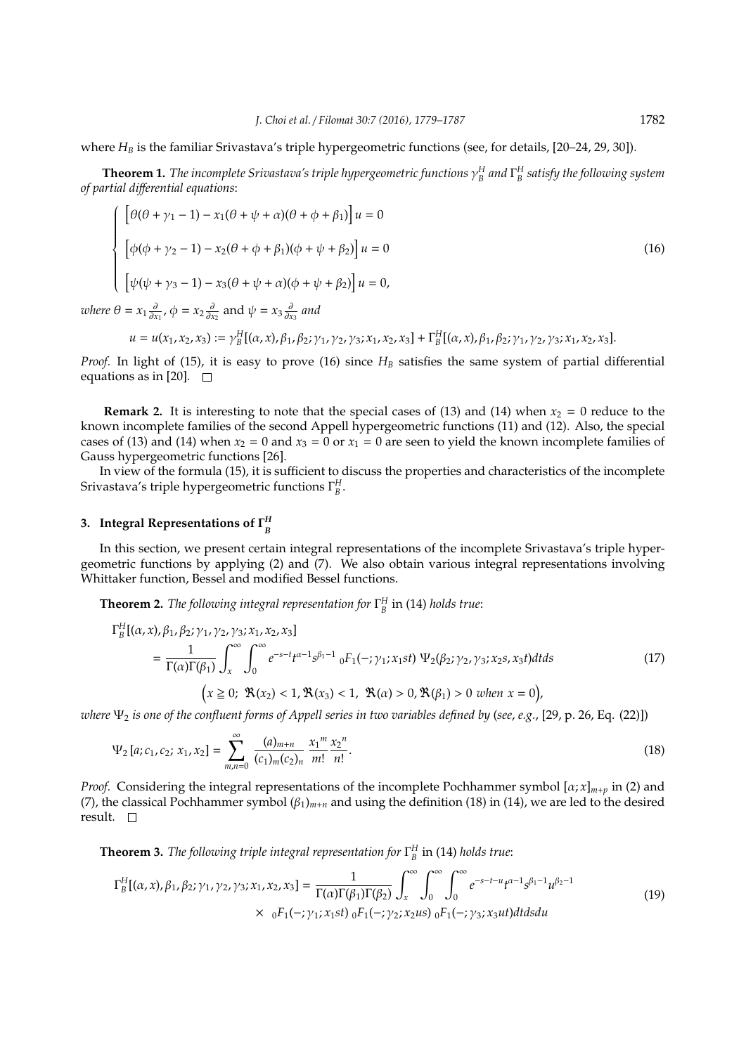where *H<sub>B</sub>* is the familiar Srivastava's triple hypergeometric functions (see, for details, [20–24, 29, 30]).

**Theorem 1.** The incomplete Srivastava's triple hypergeometric functions  $\gamma^H_B$  and  $\Gamma^H_B$  satisfy the following system *of partial di*ff*erential equations*:

$$
\begin{cases}\n\left[\theta(\theta + \gamma_1 - 1) - x_1(\theta + \psi + \alpha)(\theta + \phi + \beta_1)\right]u = 0 \\
\left[\phi(\phi + \gamma_2 - 1) - x_2(\theta + \phi + \beta_1)(\phi + \psi + \beta_2)\right]u = 0 \\
\left[\psi(\psi + \gamma_3 - 1) - x_3(\theta + \psi + \alpha)(\phi + \psi + \beta_2)\right]u = 0,\n\end{cases}
$$
\n(16)

*where*  $\theta = x_1 \frac{\partial}{\partial x_1}$ ,  $\phi = x_2 \frac{\partial}{\partial x_2}$  and  $\psi = x_3 \frac{\partial}{\partial x_3}$  and

$$
u = u(x_1, x_2, x_3) := \gamma_B^H[(\alpha, x), \beta_1, \beta_2; \gamma_1, \gamma_2, \gamma_3; x_1, x_2, x_3] + \Gamma_B^H[(\alpha, x), \beta_1, \beta_2; \gamma_1, \gamma_2, \gamma_3; x_1, x_2, x_3].
$$

*Proof.* In light of (15), it is easy to prove (16) since *H<sup>B</sup>* satisfies the same system of partial differential equations as in [20].  $\square$ 

**Remark 2.** It is interesting to note that the special cases of (13) and (14) when  $x_2 = 0$  reduce to the known incomplete families of the second Appell hypergeometric functions (11) and (12). Also, the special cases of (13) and (14) when  $x_2 = 0$  and  $x_3 = 0$  or  $x_1 = 0$  are seen to yield the known incomplete families of Gauss hypergeometric functions [26].

In view of the formula (15), it is sufficient to discuss the properties and characteristics of the incomplete Srivastava's triple hypergeometric functions Γ *H B* .

#### **3. Integral Representations of** Γ *H B*

*H*

In this section, we present certain integral representations of the incomplete Srivastava's triple hypergeometric functions by applying (2) and (7). We also obtain various integral representations involving Whittaker function, Bessel and modified Bessel functions.

**Theorem 2.** *The following integral representation for* Γ *H B* in (14) *holds true*:

$$
\Gamma_B^H[(\alpha, x), \beta_1, \beta_2; \gamma_1, \gamma_2, \gamma_3; x_1, x_2, x_3]
$$
\n
$$
= \frac{1}{\Gamma(\alpha)\Gamma(\beta_1)} \int_x^{\infty} \int_0^{\infty} e^{-s-t} t^{\alpha-1} s^{\beta_1-1} \, {}_0F_1(-; \gamma_1; x_1st) \, \Psi_2(\beta_2; \gamma_2, \gamma_3; x_2s, x_3t) dt ds \tag{17}
$$
\n
$$
(x \ge 0; \, \mathfrak{R}(x_2) < 1, \, \mathfrak{R}(x_3) < 1, \, \mathfrak{R}(\alpha) > 0, \, \mathfrak{R}(\beta_1) > 0 \, \text{when } x = 0),
$$

*where*  $\Psi_2$  *is one of the confluent forms of Appell series in two variables defined by (see, e.g., [29, p. 26, Eq. (22)])* 

$$
\Psi_2\left[a;c_1,c_2;\,x_1,x_2\right] = \sum_{m,n=0}^{\infty} \frac{(a)_{m+n}}{(c_1)_m (c_2)_n} \frac{x_1^m}{m!} \frac{x_2^n}{n!}.
$$
\n(18)

*Proof.* Considering the integral representations of the incomplete Pochhammer symbol  $[\alpha; x]_{m+p}$  in (2) and (7), the classical Pochhammer symbol (β1)*<sup>m</sup>*+*<sup>n</sup>* and using the definition (18) in (14), we are led to the desired result.  $\square$ 

**Theorem 3.** *The following triple integral representation for* Γ *H B* in (14) *holds true*:

$$
\Gamma_B^H[(\alpha, x), \beta_1, \beta_2; \gamma_1, \gamma_2, \gamma_3; x_1, x_2, x_3] = \frac{1}{\Gamma(\alpha)\Gamma(\beta_1)\Gamma(\beta_2)} \int_x^{\infty} \int_0^{\infty} \int_0^{\infty} e^{-s-t-u} t^{\alpha-1} s^{\beta_1-1} u^{\beta_2-1} dx
$$
\n
$$
\times \quad {}_0F_1(-; \gamma_1; x_1st) {}_0F_1(-; \gamma_2; x_2us) {}_0F_1(-; \gamma_3; x_3ut) dt ds du
$$
\n(19)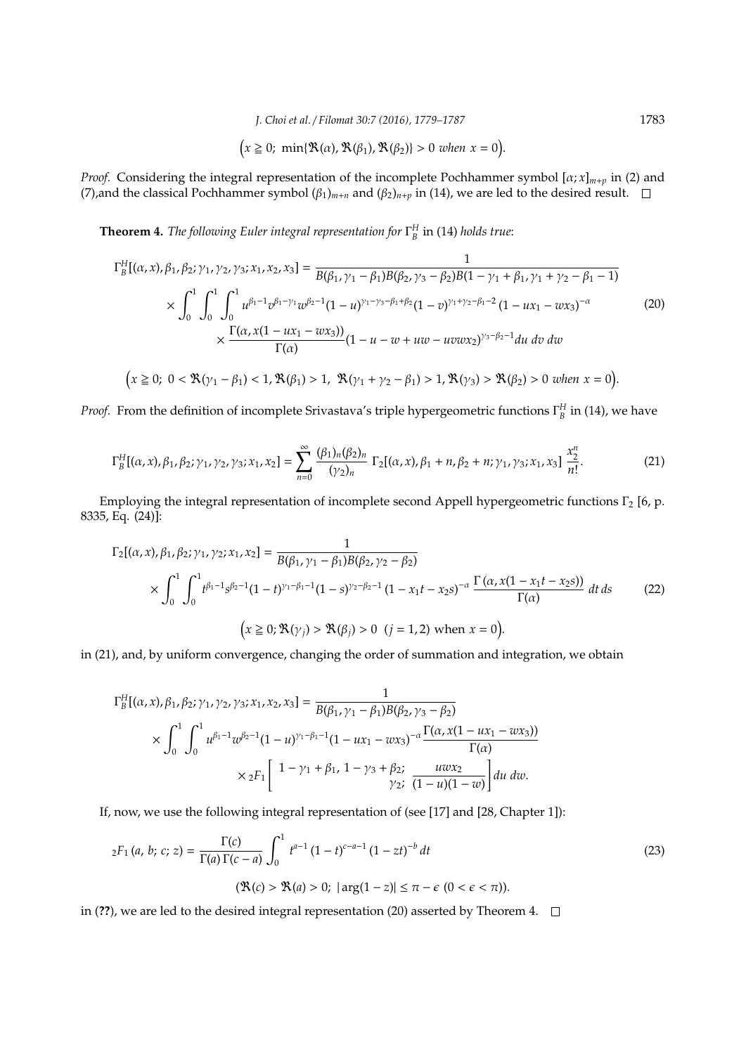*J. Choi et al.* / *Filomat 30:7 (2016), 1779–1787* 1783

$$
(x \geq 0; \min\{\mathfrak{R}(\alpha), \mathfrak{R}(\beta_1), \mathfrak{R}(\beta_2)\} > 0 \text{ when } x = 0).
$$

*Proof.* Considering the integral representation of the incomplete Pochhammer symbol  $[\alpha; x]_{m+p}$  in (2) and (7), and the classical Pochhammer symbol  $(\beta_1)_{m+n}$  and  $(\beta_2)_{n+p}$  in (14), we are led to the desired result.  $\square$ 

**Theorem 4.** *The following Euler integral representation for* Γ *H B* in (14) *holds true*:

$$
\Gamma_{B}^{H}[(\alpha, x), \beta_{1}, \beta_{2}; \gamma_{1}, \gamma_{2}, \gamma_{3}; x_{1}, x_{2}, x_{3}] = \frac{1}{B(\beta_{1}, \gamma_{1} - \beta_{1})B(\beta_{2}, \gamma_{3} - \beta_{2})B(1 - \gamma_{1} + \beta_{1}, \gamma_{1} + \gamma_{2} - \beta_{1} - 1)} \times \int_{0}^{1} \int_{0}^{1} u^{\beta_{1} - 1} v^{\beta_{1} - \gamma_{1}} w^{\beta_{2} - 1} (1 - u)^{\gamma_{1} - \gamma_{3} - \beta_{1} + \beta_{2}} (1 - v)^{\gamma_{1} + \gamma_{2} - \beta_{1} - 2} (1 - ux_{1} - wx_{3})^{-\alpha} \times \frac{\Gamma(\alpha, x(1 - ux_{1} - wx_{3}))}{\Gamma(\alpha)} (1 - u - w + uw - uvwx_{2})^{\gamma_{3} - \beta_{2} - 1} du dv dw
$$
  

$$
(x \ge 0; 0 < \Re(\gamma_{1} - \beta_{1}) < 1, \Re(\beta_{1}) > 1, \Re(\gamma_{1} + \gamma_{2} - \beta_{1}) > 1, \Re(\gamma_{3}) > \Re(\beta_{2}) > 0 \text{ when } x = 0).
$$
 (20)

*Proof.* From the definition of incomplete Srivastava's triple hypergeometric functions  $\Gamma_B^H$  in (14), we have

$$
\Gamma_B^H[(\alpha, x), \beta_1, \beta_2; \gamma_1, \gamma_2, \gamma_3; x_1, x_2] = \sum_{n=0}^{\infty} \frac{(\beta_1)_n (\beta_2)_n}{(\gamma_2)_n} \Gamma_2[(\alpha, x), \beta_1 + n, \beta_2 + n; \gamma_1, \gamma_3; x_1, x_3] \frac{x_2^n}{n!}.
$$
 (21)

Employing the integral representation of incomplete second Appell hypergeometric functions  $\Gamma_2$  [6, p. 8335, Eq. (24)]:

$$
\Gamma_2[(\alpha, x), \beta_1, \beta_2; \gamma_1, \gamma_2; x_1, x_2] = \frac{1}{B(\beta_1, \gamma_1 - \beta_1)B(\beta_2, \gamma_2 - \beta_2)}
$$
  
\$\times \int\_0^1 \int\_0^1 t^{\beta\_1 - 1} s^{\beta\_2 - 1} (1 - t)^{\gamma\_1 - \beta\_1 - 1} (1 - s)^{\gamma\_2 - \beta\_2 - 1} (1 - x\_1 t - x\_2 s)^{-\alpha} \frac{\Gamma(\alpha, x(1 - x\_1 t - x\_2 s))}{\Gamma(\alpha)} dt ds \qquad (22)\$  
\$\left(x \ge 0; \Re(\gamma\_j) > \Re(\beta\_j) > 0 \ (j = 1, 2) \text{ when } x = 0\right).

in (21), and, by uniform convergence, changing the order of summation and integration, we obtain

$$
\Gamma_B^H[(\alpha, x), \beta_1, \beta_2; \gamma_1, \gamma_2, \gamma_3; x_1, x_2, x_3] = \frac{1}{B(\beta_1, \gamma_1 - \beta_1)B(\beta_2, \gamma_3 - \beta_2)}
$$
  
\$\times \int\_0^1 \int\_0^1 u^{\beta\_1 - 1} w^{\beta\_2 - 1} (1 - u)^{\gamma\_1 - \beta\_1 - 1} (1 - ux\_1 - wx\_3)^{-\alpha} \frac{\Gamma(\alpha, x(1 - ux\_1 - wx\_3))}{\Gamma(\alpha)}\$  
\$\times {}\_2F\_1 \left[ \begin{array}{c} 1 - \gamma\_1 + \beta\_1, 1 - \gamma\_3 + \beta\_2; \frac{uwx\_2}{\gamma\_2; (1 - u)(1 - w)} \end{array} \right] du dw.

If, now, we use the following integral representation of (see [17] and [28, Chapter 1]):

$$
{}_2F_1(a, b; c; z) = \frac{\Gamma(c)}{\Gamma(a)\Gamma(c-a)} \int_0^1 t^{a-1} (1-t)^{c-a-1} (1-zt)^{-b} dt
$$
\n
$$
(\mathfrak{R}(c) > \mathfrak{R}(a) > 0; |\arg(1-z)| \le \pi - \epsilon \ (0 < \epsilon < \pi)).
$$
\n(23)

in (**??**), we are led to the desired integral representation (20) asserted by Theorem 4.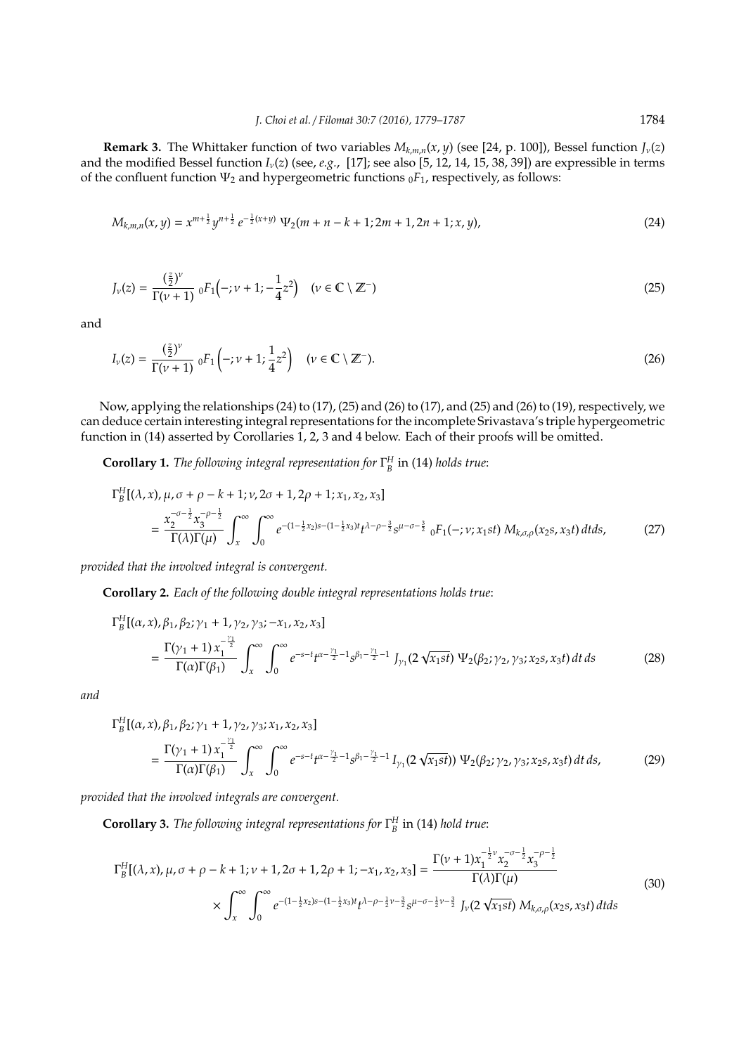**Remark 3.** The Whittaker function of two variables  $M_{k,m,n}(x, y)$  (see [24, p. 100]), Bessel function  $J_{\nu}(z)$ and the modified Bessel function *I*ν(*z*) (see, *e.g.*, [17]; see also [5, 12, 14, 15, 38, 39]) are expressible in terms of the confluent function  $\Psi_2$  and hypergeometric functions  $_0F_1$ , respectively, as follows:

$$
M_{k,m,n}(x,y) = x^{m+\frac{1}{2}}y^{n+\frac{1}{2}}e^{-\frac{1}{2}(x+y)}\Psi_2(m+n-k+1;2m+1,2n+1;x,y),\tag{24}
$$

$$
J_{\nu}(z) = \frac{\left(\frac{z}{2}\right)^{\nu}}{\Gamma(\nu+1)} \, {}_0F_1\left(-;\nu+1;-\frac{1}{4}z^2\right) \quad (\nu \in \mathbb{C} \setminus \mathbb{Z}^-)
$$
\n
$$
(25)
$$

and

$$
I_{\nu}(z) = \frac{\left(\frac{z}{2}\right)^{\nu}}{\Gamma(\nu+1)} \, {}_0F_1\left(-;\nu+1;\frac{1}{4}z^2\right) \quad (\nu \in \mathbb{C} \setminus \mathbb{Z}^-). \tag{26}
$$

Now, applying the relationships (24) to (17), (25) and (26) to (17), and (25) and (26) to (19), respectively, we can deduce certain interesting integral representations for the incomplete Srivastava's triple hypergeometric function in (14) asserted by Corollaries 1, 2, 3 and 4 below. Each of their proofs will be omitted.

**Corollary 1.** *The following integral representation for* Γ *H B* in (14) *holds true*:

$$
\Gamma_B^H[(\lambda, x), \mu, \sigma + \rho - k + 1; \nu, 2\sigma + 1, 2\rho + 1; x_1, x_2, x_3]
$$
\n
$$
= \frac{x_2^{-\sigma - \frac{1}{2}} x_3^{-\rho - \frac{1}{2}}}{\Gamma(\lambda)\Gamma(\mu)} \int_x^\infty \int_0^\infty e^{-(1 - \frac{1}{2}x_2)s - (1 - \frac{1}{2}x_3)t} t^{\lambda - \rho - \frac{3}{2}} s^{\mu - \sigma - \frac{3}{2}} \, {}_0F_1(-; \nu; x_1st) \, M_{k,\sigma,\rho}(x_2s, x_3t) \, dt ds,\tag{27}
$$

*provided that the involved integral is convergent.*

**Corollary 2.** *Each of the following double integral representations holds true*:

$$
\Gamma_B^H[(\alpha, x), \beta_1, \beta_2; \gamma_1 + 1, \gamma_2, \gamma_3; -x_1, x_2, x_3]
$$
  
= 
$$
\frac{\Gamma(\gamma_1 + 1) x_1^{-\frac{\gamma_1}{2}}}{\Gamma(\alpha)\Gamma(\beta_1)} \int_x^{\infty} \int_0^{\infty} e^{-s-t} t^{\alpha - \frac{\gamma_1}{2} - 1} s^{\beta_1 - \frac{\gamma_1}{2} - 1} J_{\gamma_1}(2 \sqrt{x_1 st}) \Psi_2(\beta_2; \gamma_2, \gamma_3; x_2, x_3 t) dt ds
$$
 (28)

*and*

*H*

$$
\Gamma_B^H[(\alpha, x), \beta_1, \beta_2; \gamma_1 + 1, \gamma_2, \gamma_3; x_1, x_2, x_3]
$$
  
= 
$$
\frac{\Gamma(\gamma_1 + 1) x_1^{-\frac{\gamma_1}{2}}}{\Gamma(\alpha)\Gamma(\beta_1)} \int_x^{\infty} \int_0^{\infty} e^{-s-t} t^{\alpha - \frac{\gamma_1}{2} - 1} s^{\beta_1 - \frac{\gamma_1}{2} - 1} I_{\gamma_1}(2 \sqrt{x_1 st}) \Psi_2(\beta_2; \gamma_2, \gamma_3; x_2, x_3 t) dt ds,
$$
 (29)

*provided that the involved integrals are convergent.*

**Corollary 3.** *The following integral representations for* Γ *H B* in (14) *hold true*:

$$
\Gamma_{B}^{H}[(\lambda, x), \mu, \sigma + \rho - k + 1; \nu + 1, 2\sigma + 1, 2\rho + 1; -x_{1}, x_{2}, x_{3}] = \frac{\Gamma(\nu + 1)x_{1}^{-\frac{1}{2}\nu}x_{2}^{-\sigma - \frac{1}{2}}x_{3}^{-\rho - \frac{1}{2}}}{\Gamma(\lambda)\Gamma(\mu)} \times \int_{x}^{\infty} \int_{0}^{\infty} e^{-(1-\frac{1}{2}x_{2})s - (1-\frac{1}{2}x_{3})t} t^{\lambda-\rho-\frac{1}{2}\nu-\frac{3}{2}} s^{\mu-\sigma-\frac{1}{2}\nu-\frac{3}{2}} J_{\nu}(2\sqrt{x_{1}st}) M_{k,\sigma,\rho}(x_{2}s, x_{3}t) dt ds
$$
\n(30)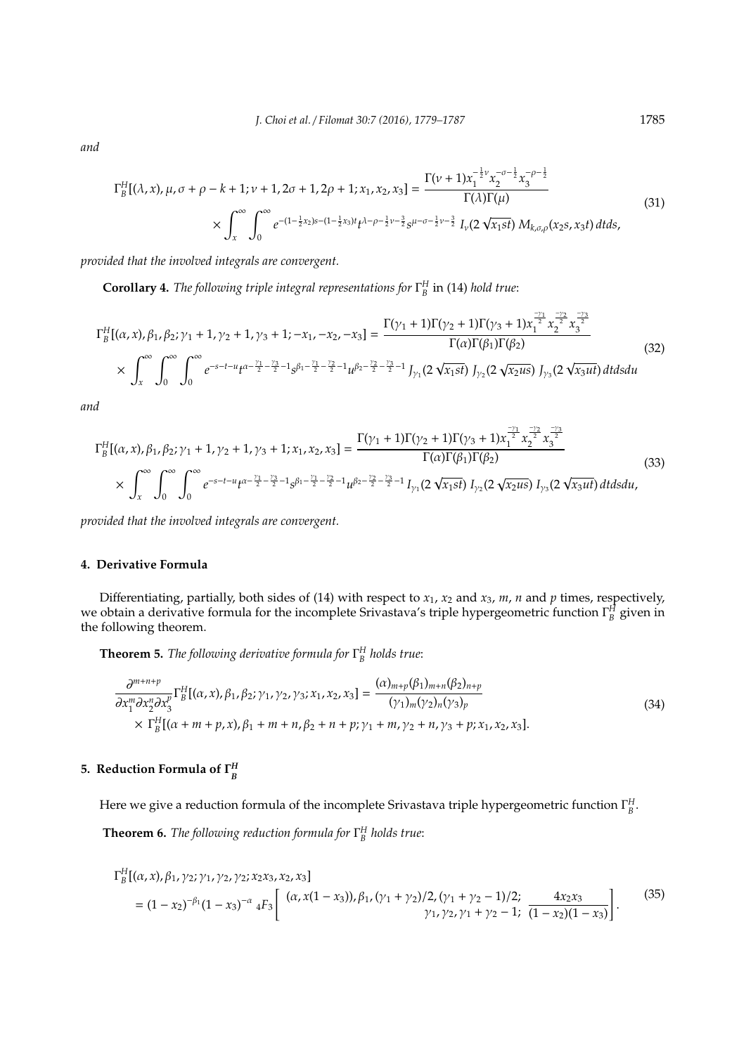*and*

$$
\Gamma_B^H[(\lambda, x), \mu, \sigma + \rho - k + 1; \nu + 1, 2\sigma + 1, 2\rho + 1; x_1, x_2, x_3] = \frac{\Gamma(\nu + 1)x_1^{-\frac{1}{2}\nu}x_2^{-\sigma - \frac{1}{2}}x_3^{-\rho - \frac{1}{2}}}{\Gamma(\lambda)\Gamma(\mu)} \times \int_x^\infty \int_0^\infty e^{-(1 - \frac{1}{2}x_2)s - (1 - \frac{1}{2}x_3)t} t^{\lambda - \rho - \frac{1}{2}\nu - \frac{3}{2}} s^{\mu - \sigma - \frac{1}{2}\nu - \frac{3}{2}} I_\nu(2\sqrt{x_1st}) M_{k,\sigma,\rho}(x_2s, x_3t) dt ds,
$$
\n(31)

*provided that the involved integrals are convergent.*

**Corollary 4.** *The following triple integral representations for* Γ *H B* in (14) *hold true*:

$$
\Gamma_{B}^{H}[(\alpha, x), \beta_{1}, \beta_{2}; \gamma_{1} + 1, \gamma_{2} + 1, \gamma_{3} + 1; -x_{1}, -x_{2}, -x_{3}] = \frac{\Gamma(\gamma_{1} + 1)\Gamma(\gamma_{2} + 1)\Gamma(\gamma_{3} + 1)x_{1}^{\frac{-\gamma_{1}}{2}}x_{2}^{\frac{-\gamma_{2}}{2}}x_{3}^{\frac{-\gamma_{3}}{2}}}{\Gamma(\alpha)\Gamma(\beta_{1})\Gamma(\beta_{2})}
$$
\n
$$
\times \int_{x}^{\infty} \int_{0}^{\infty} \int_{0}^{\infty} e^{-s-t-u} t^{\alpha - \frac{\gamma_{1}}{2} - \frac{\gamma_{3}}{2} - 1} s^{\beta_{1} - \frac{\gamma_{1}}{2} - \frac{\gamma_{2}}{2} - 1} u^{\beta_{2} - \frac{\gamma_{2}}{2} - \frac{\gamma_{3}}{2} - 1} J_{\gamma_{1}}(2 \sqrt{x_{1}st}) J_{\gamma_{2}}(2 \sqrt{x_{2}us}) J_{\gamma_{3}}(2 \sqrt{x_{3}ut}) dt ds du
$$
\n(32)

*and*

$$
\Gamma_{B}^{H}[(\alpha, x), \beta_{1}, \beta_{2}; \gamma_{1} + 1, \gamma_{2} + 1, \gamma_{3} + 1; x_{1}, x_{2}, x_{3}] = \frac{\Gamma(\gamma_{1} + 1)\Gamma(\gamma_{2} + 1)\Gamma(\gamma_{3} + 1)x_{1}^{\frac{-\gamma_{1}}{2}}x_{2}^{\frac{-\gamma_{2}}{2}}x_{3}^{\frac{-\gamma_{2}}{2}}}{\Gamma(\alpha)\Gamma(\beta_{1})\Gamma(\beta_{2})}
$$
\n
$$
\times \int_{x}^{\infty} \int_{0}^{\infty} \int_{0}^{\infty} e^{-s-t-u} t^{\alpha - \frac{\gamma_{1}}{2} - \frac{\gamma_{3}}{2} - 1} s^{\beta_{1} - \frac{\gamma_{1}}{2} - \frac{\gamma_{2}}{2} - 1} u^{\beta_{2} - \frac{\gamma_{2}}{2} - \frac{\gamma_{3}}{2} - 1} I_{\gamma_{1}}(2 \sqrt{x_{1}st}) I_{\gamma_{2}}(2 \sqrt{x_{2}us}) I_{\gamma_{3}}(2 \sqrt{x_{3}ut}) dt ds du,
$$
\n(33)

*provided that the involved integrals are convergent.*

### **4. Derivative Formula**

Differentiating, partially, both sides of (14) with respect to *x*1, *x*<sup>2</sup> and *x*3, *m*, *n* and *p* times, respectively, we obtain a derivative formula for the incomplete Srivastava's triple hypergeometric function Γ *H B* given in the following theorem.

**Theorem 5.** *The following derivative formula for* Γ *H B holds true*:

$$
\frac{\partial^{m+n+p}}{\partial x_1^m \partial x_2^n \partial x_3^p} \Gamma_B^H[(\alpha, x), \beta_1, \beta_2; \gamma_1, \gamma_2, \gamma_3; x_1, x_2, x_3] = \frac{(\alpha)_{m+p}(\beta_1)_{m+n}(\beta_2)_{n+p}}{(\gamma_1)_m(\gamma_2)_n(\gamma_3)_p} \times \Gamma_B^H[(\alpha + m + p, x), \beta_1 + m + n, \beta_2 + n + p; \gamma_1 + m, \gamma_2 + n, \gamma_3 + p; x_1, x_2, x_3].
$$
\n(34)

#### **5. Reduction Formula of**  $\Gamma_n^H$ *B*

Here we give a reduction formula of the incomplete Srivastava triple hypergeometric function Γ *H B* .

**Theorem 6.** *The following reduction formula for* Γ *H B holds true*:

$$
\Gamma_B^H[(\alpha, x), \beta_1, \gamma_2; \gamma_1, \gamma_2, \gamma_2; x_2x_3, x_2, x_3]
$$
  
=  $(1 - x_2)^{-\beta_1}(1 - x_3)^{-\alpha} {}_4F_3 \left[ \begin{array}{cc} (\alpha, x(1 - x_3)), \beta_1, (\gamma_1 + \gamma_2)/2, (\gamma_1 + \gamma_2 - 1)/2; & 4x_2x_3 \\ \gamma_1, \gamma_2, \gamma_1 + \gamma_2 - 1; & (1 - x_2)(1 - x_3) \end{array} \right].$  (35)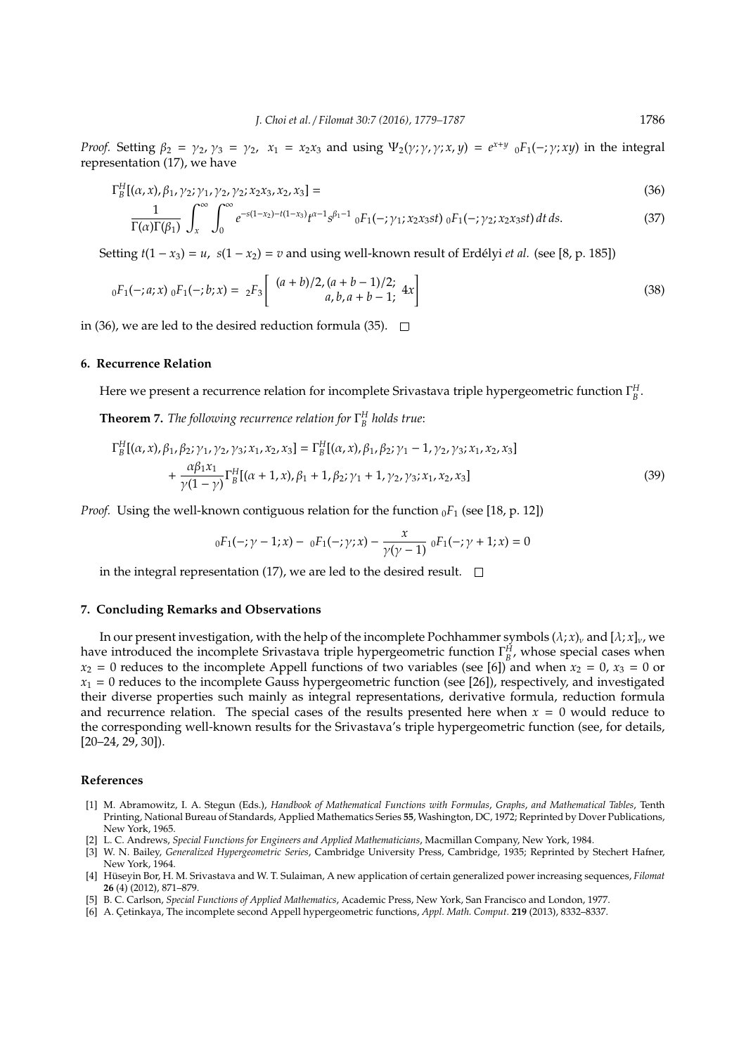*Proof.* Setting  $\beta_2 = \gamma_2, \gamma_3 = \gamma_2, \ x_1 = x_2x_3$  and using  $\Psi_2(\gamma; \gamma, \gamma; x, y) = e^{x+y} \int_0^x F_1(-; \gamma; xy)$  in the integral representation (17), we have

$$
\Gamma_B^H[(\alpha, x), \beta_1, \gamma_2; \gamma_1, \gamma_2, \gamma_2; x_2x_3, x_2, x_3] = (36)
$$

$$
\frac{1}{\Gamma(\alpha)\Gamma(\beta_1)} \int_x^{\infty} \int_0^{\infty} e^{-s(1-x_2)-t(1-x_3)} t^{\alpha-1} s^{\beta_1-1} \ {}_0F_1(-;\gamma_1; x_2x_3st) \ {}_0F_1(-;\gamma_2; x_2x_3st) dt ds.
$$
 (37)

Setting  $t(1 - x_3) = u$ ,  $s(1 - x_2) = v$  and using well-known result of Erdélyi *et al.* (see [8, p. 185])

$$
{}_{0}F_{1}(-;a;x) {}_{0}F_{1}(-;b;x) = {}_{2}F_{3}\left[\begin{array}{c} (a+b)/2, (a+b-1)/2; \\ a, b, a+b-1; \end{array} 4x\right]
$$
(38)

in (36), we are led to the desired reduction formula (35).  $\Box$ 

### **6. Recurrence Relation**

Here we present a recurrence relation for incomplete Srivastava triple hypergeometric function Γ *H B* . **Theorem 7.** *The following recurrence relation for* Γ *H B holds true*:

$$
\Gamma_{B}^{H}[(\alpha, x), \beta_{1}, \beta_{2}; \gamma_{1}, \gamma_{2}, \gamma_{3}; x_{1}, x_{2}, x_{3}] = \Gamma_{B}^{H}[(\alpha, x), \beta_{1}, \beta_{2}; \gamma_{1} - 1, \gamma_{2}, \gamma_{3}; x_{1}, x_{2}, x_{3}] + \frac{\alpha \beta_{1} x_{1}}{\gamma(1 - \gamma)} \Gamma_{B}^{H}[(\alpha + 1, x), \beta_{1} + 1, \beta_{2}; \gamma_{1} + 1, \gamma_{2}, \gamma_{3}; x_{1}, x_{2}, x_{3}] \tag{39}
$$

*Proof.* Using the well-known contiguous relation for the function  $_0F_1$  (see [18, p. 12])

$$
{}_{0}F_{1}(-;\gamma-1;x)-{}_{0}F_{1}(-;\gamma;x)-\frac{x}{\gamma(\gamma-1)}{}_{0}F_{1}(-;\gamma+1;x)=0
$$

in the integral representation (17), we are led to the desired result.  $\square$ 

#### **7. Concluding Remarks and Observations**

In our present investigation, with the help of the incomplete Pochhammer symbols  $(\lambda; x)_v$  and  $[\lambda; x]_v$ , we have introduced the incomplete Srivastava triple hypergeometric function  $\Gamma_B^H$ , whose special cases when  $x_2 = 0$  reduces to the incomplete Appell functions of two variables (see [6]) and when  $x_2 = 0$ ,  $x_3 = 0$  or  $x_1 = 0$  reduces to the incomplete Gauss hypergeometric function (see [26]), respectively, and investigated their diverse properties such mainly as integral representations, derivative formula, reduction formula and recurrence relation. The special cases of the results presented here when  $x = 0$  would reduce to the corresponding well-known results for the Srivastava's triple hypergeometric function (see, for details,  $[20-24, 29, 30]$ ).

#### **References**

- [1] M. Abramowitz, I. A. Stegun (Eds.), *Handbook of Mathematical Functions with Formulas*, *Graphs*, *and Mathematical Tables*, Tenth Printing, National Bureau of Standards, Applied Mathematics Series **55**, Washington, DC, 1972; Reprinted by Dover Publications, New York, 1965.
- [2] L. C. Andrews, *Special Functions for Engineers and Applied Mathematicians*, Macmillan Company, New York, 1984.
- [3] W. N. Bailey, *Generalized Hypergeometric Series*, Cambridge University Press, Cambridge, 1935; Reprinted by Stechert Hafner, New York, 1964.
- [4] Hüseyin Bor, H. M. Srivastava and W. T. Sulaiman, A new application of certain generalized power increasing sequences, Filomat **26** (4) (2012), 871–879.
- [5] B. C. Carlson, *Special Functions of Applied Mathematics*, Academic Press, New York, San Francisco and London, 1977.
- [6] A. Çetinkaya, The incomplete second Appell hypergeometric functions, *Appl. Math. Comput.* **219** (2013), 8332-8337.